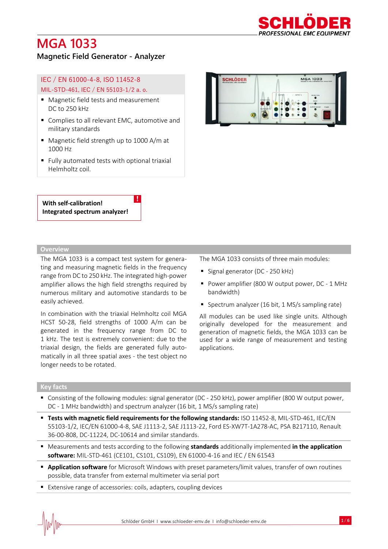

**MGA 1033** 

### **Magnetic Field Generator - Analyzer**

### IEC / EN 61000-4-8, ISO 11452-8 MIL-STD-461, IEC / EN 55103-1/2 a. o.

- Magnetic field tests and measurement DC to 250 kHz
- Complies to all relevant EMC, automotive and military standards
- Magnetic field strength up to 1000 A/m at 1000 Hz
- Fully automated tests with optional triaxial Helmholtz coil.

!

#### **With self-calibration! Integrated spectrum analyzer!**

#### **Overview**

The MGA 1033 is a compact test system for generating and measuring magnetic fields in the frequency range from DC to 250 kHz. The integrated high-power amplifier allows the high field strengths required by numerous military and automotive standards to be easily achieved.

In combination with the triaxial Helmholtz coil MGA HCST 50-28, field strengths of 1000 A/m can be generated in the frequency range from DC to 1 kHz. The test is extremely convenient: due to the triaxial design, the fields are generated fully automatically in all three spatial axes - the test object no longer needs to be rotated.

The MGA 1033 consists of three main modules:

■ Signal generator (DC - 250 kHz)

**SCHLÖDER** 

- Power amplifier (800 W output power, DC 1 MHz bandwidth)
- Spectrum analyzer (16 bit, 1 MS/s sampling rate)

All modules can be used like single units. Although originally developed for the measurement and generation of magnetic fields, the MGA 1033 can be used for a wide range of measurement and testing applications.

#### **Key facts**

- Consisting of the following modules: signal generator (DC 250 kHz), power amplifier (800 W output power, DC - 1 MHz bandwidth) and spectrum analyzer (16 bit, 1 MS/s sampling rate)
- **Tests with magnetic field requirements for the following standards:** ISO 11452-8, MIL-STD-461, IEC/EN 55103-1/2, IEC/EN 61000-4-8, SAE J1113-2, SAE J1113-22, Ford ES-XW7T-1A278-AC, PSA B217110, Renault 36-00-808, DC-11224, DC-10614 and similar standards.
- Measurements and tests according to the following **standards** additionally implemented **in the application software:** MIL-STD-461 (CE101, CS101, CS109), EN 61000-4-16 and IEC / EN 61543
- **Application software** for Microsoft Windows with preset parameters/limit values, transfer of own routines possible, data transfer from external multimeter via serial port
- Extensive range of accessories: coils, adapters, coupling devices

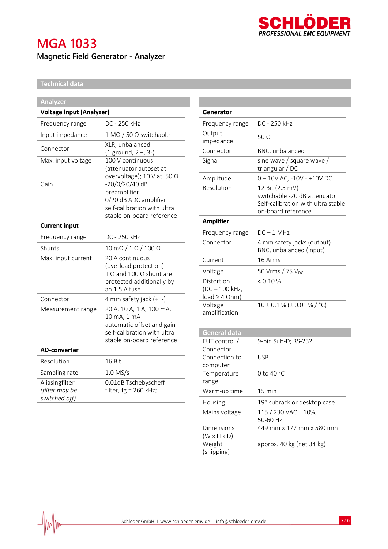

## **Magnetic Field Generator - Analyzer**

### **Technical data**

| <b>Analyzer</b>                 |                                              |
|---------------------------------|----------------------------------------------|
| <b>Voltage input (Analyzer)</b> |                                              |
| Frequency range                 | DC - 250 kHz                                 |
| Input impedance                 | $1 M\Omega / 50 \Omega$ switchable           |
| Connector                       | XLR, unbalanced                              |
|                                 | $(1$ ground, $2 +$ , $3 -$ )                 |
| Max. input voltage              | 100 V continuous                             |
|                                 | (attenuator autoset at                       |
|                                 | overvoltage); 10 V at 50 $\Omega$            |
| Gain                            | -20/0/20/40 dB                               |
|                                 | preamplifier                                 |
|                                 | 0/20 dB ADC amplifier                        |
|                                 | self-calibration with ultra                  |
|                                 | stable on-board reference                    |
| <b>Current input</b>            |                                              |
| Frequency range                 | DC - 250 kHz                                 |
| Shunts                          | $10 \text{ m}\Omega / 1 \Omega / 100 \Omega$ |
| Max. input current              | 20 A continuous                              |
|                                 | (overload protection)                        |
|                                 | $1 \Omega$ and $100 \Omega$ shunt are        |
|                                 | protected additionally by                    |
|                                 | an 1.5 A fuse                                |
| Connector                       | 4 mm safety jack $(+, -)$                    |
| Measurement range               | 20 A, 10 A, 1 A, 100 mA,                     |
|                                 | 10 mA, 1 mA                                  |
|                                 | automatic offset and gain                    |
|                                 | self-calibration with ultra                  |
|                                 | stable on-board reference                    |
| <b>AD-converter</b>             |                                              |
| Resolution                      | 16 Bit                                       |
| Sampling rate                   | $1.0$ MS/s                                   |
| Aliasingfilter                  | 0.01dB Tschebyscheff                         |
| (filter may be                  | filter, fg = 260 kHz;                        |
| switched off)                   |                                              |
|                                 |                                              |

| Generator                                          |                                                                                                             |
|----------------------------------------------------|-------------------------------------------------------------------------------------------------------------|
| Frequency range                                    | DC - 250 kHz                                                                                                |
| Output<br>impedance                                | 50 Q                                                                                                        |
| Connector                                          | BNC, unbalanced                                                                                             |
| Signal                                             | sine wave / square wave /<br>triangular / DC                                                                |
| Amplitude                                          | $0 - 10V$ AC, $-10V - +10V$ DC                                                                              |
| Resolution                                         | 12 Bit (2.5 mV)<br>switchable -20 dB attenuator<br>Self-calibration with ultra stable<br>on-board reference |
| <b>Amplifier</b>                                   |                                                                                                             |
| Frequency range                                    | $DC - 1$ MHz                                                                                                |
| Connector                                          | 4 mm safety jacks (output)<br>BNC, unbalanced (input)                                                       |
| Current                                            | 16 Arms                                                                                                     |
| Voltage                                            | 50 Vrms / 75 V <sub>DC</sub>                                                                                |
| Distortion<br>(DC - 100 kHz,<br>$load \geq 4 Ohm)$ | $< 0.10 \%$                                                                                                 |
| Voltage<br>amplification                           | $10 \pm 0.1$ % ( $\pm$ 0.01 % / °C)                                                                         |

| <b>General data</b>     |                             |
|-------------------------|-----------------------------|
| EUT control /           | 9-pin Sub-D; RS-232         |
| Connector               |                             |
| Connection to           | USB                         |
| computer                |                             |
| Temperature             | 0 to 40 °C                  |
| range                   |                             |
| Warm-up time            | $15 \text{ min}$            |
| Housing                 | 19" subrack or desktop case |
| Mains voltage           | 115 / 230 VAC ± 10%,        |
|                         | 50-60 Hz                    |
| Dimensions              | 449 mm x 177 mm x 580 mm    |
| $(W \times H \times D)$ |                             |
| Weight                  | approx. 40 kg (net 34 kg)   |
| (shipping)              |                             |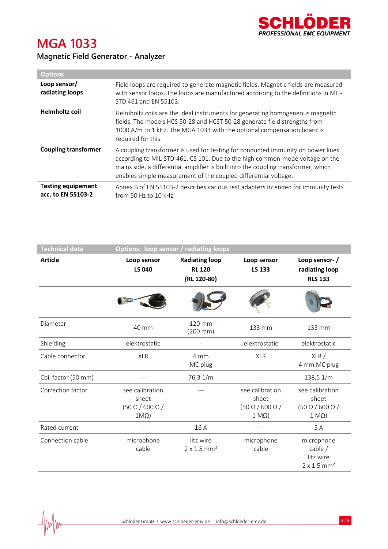

|  | <b>Magnetic Field Generator - Analyzer</b> |  |
|--|--------------------------------------------|--|
|  |                                            |  |

| <b>Options</b>                                  |                                                                                                                                                                                                                                                                                                                           |
|-------------------------------------------------|---------------------------------------------------------------------------------------------------------------------------------------------------------------------------------------------------------------------------------------------------------------------------------------------------------------------------|
| Loop sensor/<br>radiating loops                 | Field loops are required to generate magnetic fields. Magnetic fields are measured<br>with sensor loops. The loops are manufactured according to the definitions in MIL-<br>STD 461 and EN 55103.                                                                                                                         |
| <b>Helmholtz coil</b>                           | Helmholtz coils are the ideal instruments for generating homogeneous magnetic<br>fields. The models HCS 50-28 and HCST 50-28 generate field strengths from<br>1000 A/m to 1 kHz. The MGA 1033 with the optional compensation board is<br>required for this.                                                               |
| <b>Coupling transformer</b>                     | A coupling transformer is used for testing for conducted immunity on power lines<br>according to MIL-STD-461, CS 101. Due to the high common-mode voltage on the<br>mains side, a differential amplifier is built into the coupling transformer, which<br>enables simple measurement of the coupled differential voltage. |
| <b>Testing equipement</b><br>acc. to EN 55103-2 | Annex B of EN 55103-2 describes various test adapters intended for immunity tests<br>from 50 Hz to 10 kHz.                                                                                                                                                                                                                |

| <b>Technical data</b> |                                                                        | <b>Options: loop sensor / radiating loops</b>         |                                                                         |                                                                         |
|-----------------------|------------------------------------------------------------------------|-------------------------------------------------------|-------------------------------------------------------------------------|-------------------------------------------------------------------------|
| <b>Article</b>        | Loop sensor<br><b>LS 040</b>                                           | <b>Radiating loop</b><br><b>RL 120</b><br>(RL 120-80) | Loop sensor<br>LS 133                                                   | Loop sensor-/<br>radiating loop<br><b>RLS 133</b>                       |
|                       |                                                                        |                                                       |                                                                         |                                                                         |
| Diameter              | 40 mm                                                                  | 120 mm<br>$(200 \, \text{mm})$                        | 133 mm                                                                  | 133 mm                                                                  |
| Shielding             | elektrostatic                                                          |                                                       | elektrostatic                                                           | elektrostatic                                                           |
| Cable connector       | <b>XLR</b>                                                             | 4 mm<br>MC plug                                       | <b>XLR</b>                                                              | XLR /<br>4 mm MC plug                                                   |
| Coil factor (50 mm)   |                                                                        | 76,3 1/m                                              |                                                                         | 138,5 1/m                                                               |
| Correction factor     | see calibration<br>sheet<br>$(50 \Omega / 600 \Omega)$<br>$1M\Omega$ ) |                                                       | see calibration<br>sheet<br>$(50 \Omega / 600 \Omega)$<br>$1 M\Omega$ ) | see calibration<br>sheet<br>$(50 \Omega / 600 \Omega)$<br>$1 M\Omega$ ) |
| Rated current         | $---$                                                                  | 16 A                                                  | ---                                                                     | 5 A                                                                     |
| Connection cable      | microphone<br>cable                                                    | litz wire<br>$2 \times 1.5$ mm <sup>2</sup>           | microphone<br>cable                                                     | microphone<br>cable $/$<br>litz wire<br>$2 \times 1.5$ mm <sup>2</sup>  |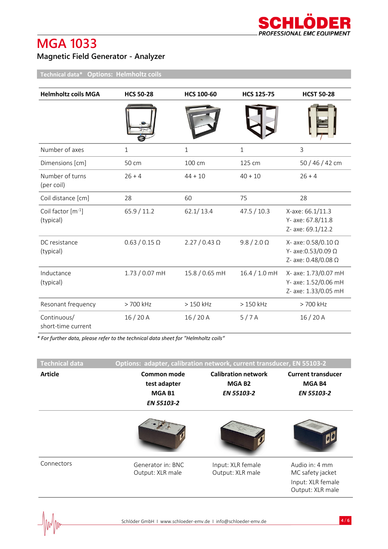## **Magnetic Field Generator - Analyzer**

**Technical data\* Options: Helmholtz coils**

| <b>Helmholtz coils MGA</b>          | <b>HCS 50-28</b>     | <b>HCS 100-60</b>    | <b>HCS 125-75</b>  | <b>HCST 50-28</b>                                                    |
|-------------------------------------|----------------------|----------------------|--------------------|----------------------------------------------------------------------|
|                                     |                      |                      |                    |                                                                      |
| Number of axes                      | $\mathbf{1}$         | $\mathbf{1}$         | $\mathbf{1}$       | $\mathsf{3}$                                                         |
| Dimensions [cm]                     | 50 cm                | 100 cm               | 125 cm             | 50 / 46 / 42 cm                                                      |
| Number of turns<br>(per coil)       | $26 + 4$             | $44 + 10$            | $40 + 10$          | $26 + 4$                                                             |
| Coil distance [cm]                  | 28                   | 60                   | 75                 | 28                                                                   |
| Coil factor $[m^{-1}]$<br>(typical) | 65.9 / 11.2          | 62.1/13.4            | 47.5 / 10.3        | X-axe: 66.1/11.3<br>Y- axe: 67.8/11.8<br>Z- axe: 69.1/12.2           |
| DC resistance<br>(typical)          | $0.63 / 0.15 \Omega$ | $2.27 / 0.43 \Omega$ | $9.8 / 2.0 \Omega$ | X- axe: 0.58/0.10 Ω<br>Y- axe: 0.53/0.09 Ω<br>Z- axe: 0.48/0.08 Ω    |
| Inductance<br>(typical)             | $1.73/0.07$ mH       | 15.8 / 0.65 mH       | $16.4 / 1.0$ mH    | X- axe: 1.73/0.07 mH<br>Y- axe: 1.52/0.06 mH<br>Z- axe: 1.33/0.05 mH |
| Resonant frequency                  | > 700 kHz            | > 150 kHz            | > 150 kHz          | > 700 kHz                                                            |
| Continuous/<br>short-time current   | 16/20A               | 16/20A               | 5/7A               | 16/20A                                                               |

*\* For further data, please refer to the technical data sheet for "Helmholtz coils"*

| Technical data | Options: adapter, calibration network, current transducer, EN 55103-2 |                                                                       |                                                                             |
|----------------|-----------------------------------------------------------------------|-----------------------------------------------------------------------|-----------------------------------------------------------------------------|
| <b>Article</b> | Common mode<br>test adapter<br>MGA B1<br>EN 55103-2                   | <b>Calibration network</b><br>MGA B <sub>2</sub><br><b>EN 55103-2</b> | <b>Current transducer</b><br>MGA B4<br><b>EN 55103-2</b>                    |
|                |                                                                       |                                                                       |                                                                             |
| Connectors     | Generator in: BNC<br>Output: XLR male                                 | Input: XLR female<br>Output: XLR male                                 | Audio in: 4 mm<br>MC safety jacket<br>Input: XLR female<br>Output: XLR male |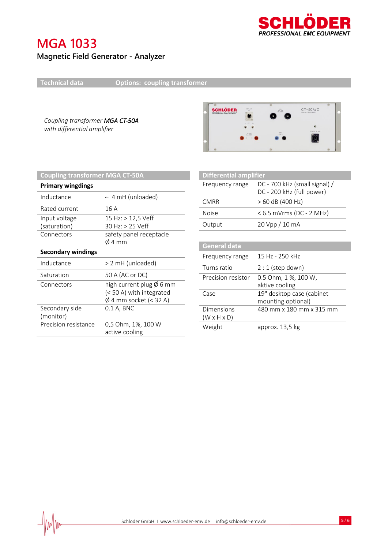

## **Magnetic Field Generator - Analyzer**

 $\frac{1}{2}$ 

**Technical data Options: coupling transformer**

*Coupling transformer MGA CT-50A with differential amplifier*



| <b>Coupling transformer MGA CT-50A</b> |                                                                                                    |  |
|----------------------------------------|----------------------------------------------------------------------------------------------------|--|
| <b>Primary wingdings</b>               |                                                                                                    |  |
| Inductance                             | $\sim$ 4 mH (unloaded)                                                                             |  |
| Rated current                          | 16 A                                                                                               |  |
| Input voltage<br>(saturation)          | 15 Hz: $>$ 12,5 Veff<br>30 Hz: > 25 Veff                                                           |  |
| Connectors                             | safety panel receptacle<br>$\emptyset$ 4 mm                                                        |  |
| <b>Secondary windings</b>              |                                                                                                    |  |
| Inductance                             | > 2 mH (unloaded)                                                                                  |  |
| Saturation                             | 50 A (AC or DC)                                                                                    |  |
| Connectors                             | high current plug $\emptyset$ 6 mm<br>(< 50 A) with integrated<br>$\emptyset$ 4 mm socket (< 32 A) |  |
| Secondary side<br>(monitor)            | $0.1$ A, BNC                                                                                       |  |
| Precision resistance                   | 0,5 Ohm, 1%, 100 W<br>active cooling                                                               |  |

| <b>Differential amplifier</b>         |                                                            |
|---------------------------------------|------------------------------------------------------------|
| Frequency range                       | DC - 700 kHz (small signal) /<br>DC - 200 kHz (full power) |
| <b>CMRR</b>                           | > 60 dB (400 Hz)                                           |
| Noise                                 | < 6.5 mVrms (DC - 2 MHz)                                   |
| Output                                | 20 Vpp / 10 mA                                             |
|                                       |                                                            |
| <b>General data</b>                   |                                                            |
| Frequency range                       | 15 Hz - 250 kHz                                            |
| Turns ratio                           | $2:1$ (step down)                                          |
| Precision resistor                    | 0.5 Ohm, 1 %, 100 W,<br>aktive cooling                     |
| Case                                  | 19" desktop case (cabinet<br>mounting optional)            |
| Dimensions<br>$(W \times H \times D)$ | 480 mm x 180 mm x 315 mm                                   |
| Weight                                | approx. 13,5 kg                                            |